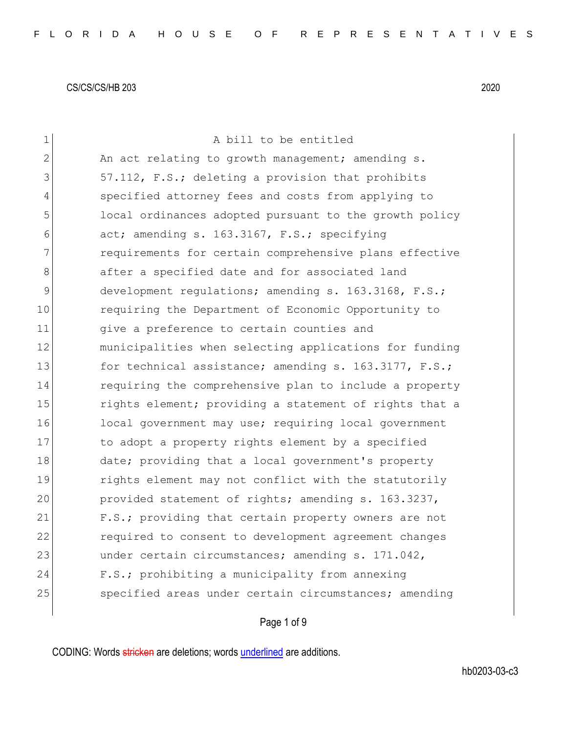| $\mathbf 1$ | A bill to be entitled                                  |
|-------------|--------------------------------------------------------|
| 2           | An act relating to growth management; amending s.      |
| 3           | 57.112, F.S.; deleting a provision that prohibits      |
| 4           | specified attorney fees and costs from applying to     |
| 5           | local ordinances adopted pursuant to the growth policy |
| 6           | act; amending s. 163.3167, F.S.; specifying            |
| 7           | requirements for certain comprehensive plans effective |
| 8           | after a specified date and for associated land         |
| 9           | development regulations; amending s. 163.3168, F.S.;   |
| 10          | requiring the Department of Economic Opportunity to    |
| 11          | give a preference to certain counties and              |
| 12          | municipalities when selecting applications for funding |
| 13          | for technical assistance; amending s. 163.3177, F.S.;  |
| 14          | requiring the comprehensive plan to include a property |
| 15          | rights element; providing a statement of rights that a |
| 16          | local government may use; requiring local government   |
| 17          | to adopt a property rights element by a specified      |
| 18          | date; providing that a local government's property     |
| 19          | rights element may not conflict with the statutorily   |
| 20          | provided statement of rights; amending s. 163.3237,    |
| 21          | F.S.; providing that certain property owners are not   |
| 22          | required to consent to development agreement changes   |
| 23          | under certain circumstances; amending s. 171.042,      |
| 24          | F.S.; prohibiting a municipality from annexing         |
| 25          | specified areas under certain circumstances; amending  |
|             |                                                        |

# Page 1 of 9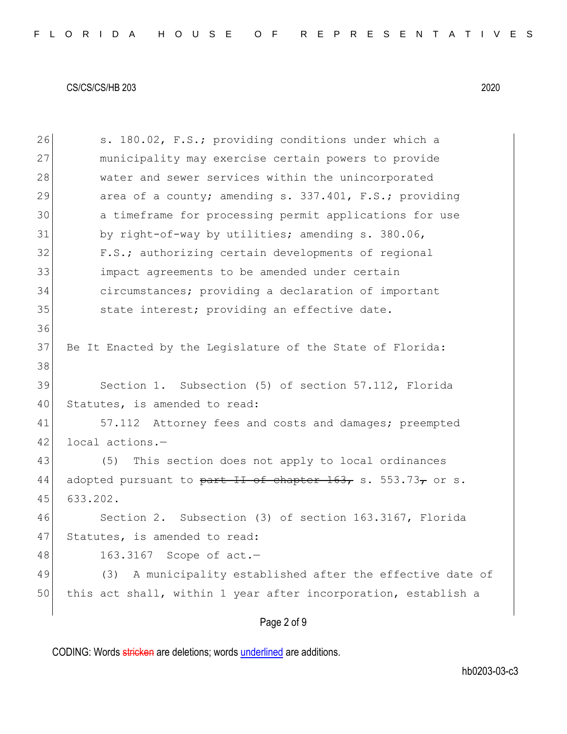Page 2 of 9 26 S. 180.02, F.S.; providing conditions under which a 27 municipality may exercise certain powers to provide 28 water and sewer services within the unincorporated 29 area of a county; amending s. 337.401, F.S.; providing 30 a timeframe for processing permit applications for use 31 by right-of-way by utilities; amending s. 380.06, 32 F.S.; authorizing certain developments of regional 33 impact agreements to be amended under certain 34 circumstances; providing a declaration of important 35 state interest; providing an effective date. 36 37 Be It Enacted by the Legislature of the State of Florida: 38 39 Section 1. Subsection (5) of section 57.112, Florida 40 Statutes, is amended to read: 41 57.112 Attorney fees and costs and damages; preempted 42 local actions.-43 (5) This section does not apply to local ordinances 44 adopted pursuant to part II of chapter  $163$ , s. 553.73, or s. 45 633.202. 46 Section 2. Subsection (3) of section 163.3167, Florida 47 Statutes, is amended to read: 48 163.3167 Scope of act. 49 (3) A municipality established after the effective date of 50 this act shall, within 1 year after incorporation, establish a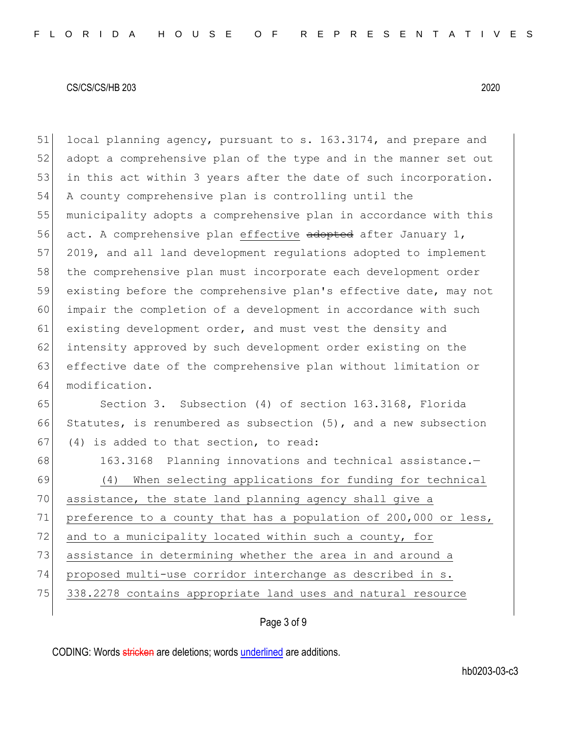51 local planning agency, pursuant to s. 163.3174, and prepare and 52 adopt a comprehensive plan of the type and in the manner set out 53 in this act within 3 years after the date of such incorporation. 54 A county comprehensive plan is controlling until the 55 municipality adopts a comprehensive plan in accordance with this 56 act. A comprehensive plan effective adopted after January 1, 57 2019, and all land development regulations adopted to implement 58 the comprehensive plan must incorporate each development order 59 existing before the comprehensive plan's effective date, may not 60 impair the completion of a development in accordance with such 61 existing development order, and must vest the density and 62 intensity approved by such development order existing on the 63 effective date of the comprehensive plan without limitation or 64 modification.

65 Section 3. Subsection (4) of section 163.3168, Florida 66 Statutes, is renumbered as subsection (5), and a new subsection 67 (4) is added to that section, to read:

68 163.3168 Planning innovations and technical assistance.-69 (4) When selecting applications for funding for technical 70 assistance, the state land planning agency shall give a 71 preference to a county that has a population of 200,000 or less, 72 and to a municipality located within such a county, for 73 assistance in determining whether the area in and around a 74 proposed multi-use corridor interchange as described in s. 75 338.2278 contains appropriate land uses and natural resource

## Page 3 of 9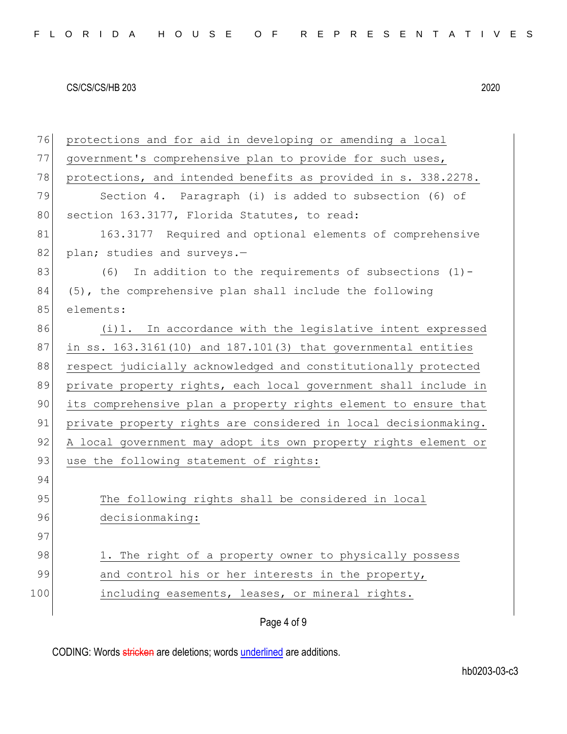| 76  | protections and for aid in developing or amending a local       |  |  |  |  |  |  |  |
|-----|-----------------------------------------------------------------|--|--|--|--|--|--|--|
| 77  | government's comprehensive plan to provide for such uses,       |  |  |  |  |  |  |  |
| 78  | protections, and intended benefits as provided in s. 338.2278.  |  |  |  |  |  |  |  |
| 79  | Section 4. Paragraph (i) is added to subsection (6) of          |  |  |  |  |  |  |  |
| 80  | section 163.3177, Florida Statutes, to read:                    |  |  |  |  |  |  |  |
| 81  | 163.3177 Required and optional elements of comprehensive        |  |  |  |  |  |  |  |
| 82  | plan; studies and surveys.-                                     |  |  |  |  |  |  |  |
| 83  | In addition to the requirements of subsections $(1)$ -<br>(6)   |  |  |  |  |  |  |  |
| 84  | (5), the comprehensive plan shall include the following         |  |  |  |  |  |  |  |
| 85  | elements:                                                       |  |  |  |  |  |  |  |
| 86  | (i)1. In accordance with the legislative intent expressed       |  |  |  |  |  |  |  |
| 87  | in ss. 163.3161(10) and 187.101(3) that governmental entities   |  |  |  |  |  |  |  |
| 88  | respect judicially acknowledged and constitutionally protected  |  |  |  |  |  |  |  |
| 89  | private property rights, each local government shall include in |  |  |  |  |  |  |  |
| 90  | its comprehensive plan a property rights element to ensure that |  |  |  |  |  |  |  |
| 91  | private property rights are considered in local decisionmaking. |  |  |  |  |  |  |  |
| 92  | A local government may adopt its own property rights element or |  |  |  |  |  |  |  |
| 93  | use the following statement of rights:                          |  |  |  |  |  |  |  |
| 94  |                                                                 |  |  |  |  |  |  |  |
| 95  | The following rights shall be considered in local               |  |  |  |  |  |  |  |
| 96  | decisionmaking:                                                 |  |  |  |  |  |  |  |
| 97  |                                                                 |  |  |  |  |  |  |  |
| 98  | 1. The right of a property owner to physically possess          |  |  |  |  |  |  |  |
| 99  | and control his or her interests in the property,               |  |  |  |  |  |  |  |
| 100 | including easements, leases, or mineral rights.                 |  |  |  |  |  |  |  |
|     |                                                                 |  |  |  |  |  |  |  |

Page 4 of 9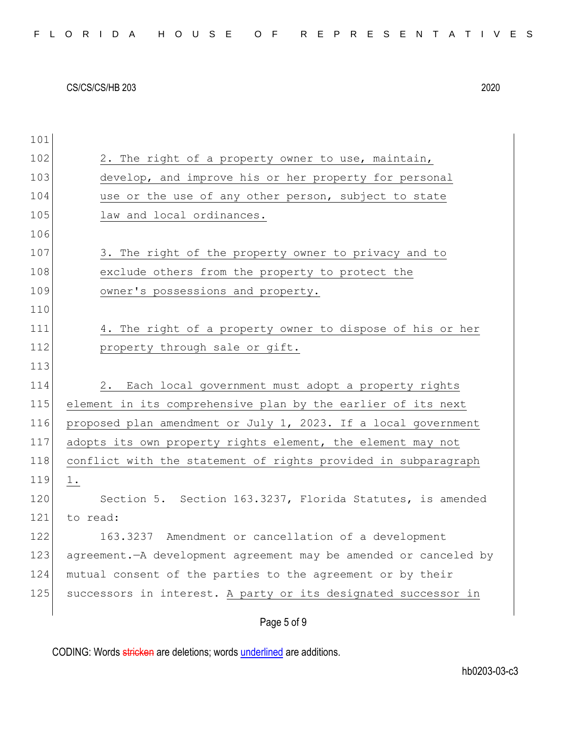| 101 |                                                                    |
|-----|--------------------------------------------------------------------|
| 102 | 2. The right of a property owner to use, maintain,                 |
| 103 | develop, and improve his or her property for personal              |
| 104 | use or the use of any other person, subject to state               |
| 105 | law and local ordinances.                                          |
| 106 |                                                                    |
| 107 | 3. The right of the property owner to privacy and to               |
| 108 | exclude others from the property to protect the                    |
| 109 | owner's possessions and property.                                  |
| 110 |                                                                    |
| 111 | 4. The right of a property owner to dispose of his or her          |
| 112 | property through sale or gift.                                     |
| 113 |                                                                    |
| 114 | 2. Each local government must adopt a property rights              |
| 115 | element in its comprehensive plan by the earlier of its next       |
| 116 | proposed plan amendment or July 1, 2023. If a local government     |
| 117 | adopts its own property rights element, the element may not        |
| 118 | conflict with the statement of rights provided in subparagraph     |
| 119 | 1.                                                                 |
| 120 | Section 5. Section 163.3237, Florida Statutes, is amended          |
| 121 | to read:                                                           |
| 122 | 163.3237 Amendment or cancellation of a development                |
| 123 | agreement. - A development agreement may be amended or canceled by |
| 124 | mutual consent of the parties to the agreement or by their         |
| 125 | successors in interest. A party or its designated successor in     |
|     | Page 5 of 9                                                        |

CODING: Words stricken are deletions; words underlined are additions.

hb0203-03-c3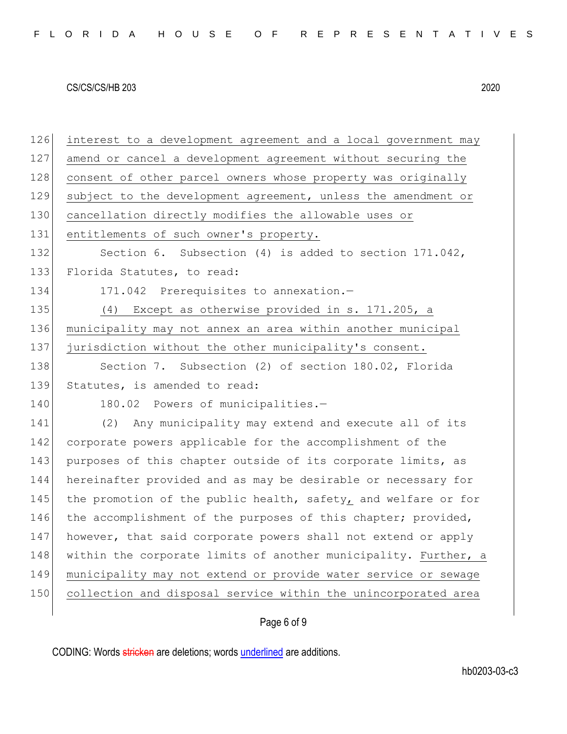| 126 | interest to a development agreement and a local government may  |
|-----|-----------------------------------------------------------------|
| 127 | amend or cancel a development agreement without securing the    |
| 128 | consent of other parcel owners whose property was originally    |
| 129 | subject to the development agreement, unless the amendment or   |
| 130 | cancellation directly modifies the allowable uses or            |
| 131 | entitlements of such owner's property.                          |
| 132 | Section 6. Subsection (4) is added to section 171.042,          |
| 133 | Florida Statutes, to read:                                      |
| 134 | 171.042 Prerequisites to annexation.-                           |
| 135 | (4) Except as otherwise provided in s. 171.205, a               |
| 136 | municipality may not annex an area within another municipal     |
| 137 | jurisdiction without the other municipality's consent.          |
| 138 | Section 7. Subsection (2) of section 180.02, Florida            |
| 139 | Statutes, is amended to read:                                   |
| 140 | 180.02 Powers of municipalities.-                               |
| 141 | Any municipality may extend and execute all of its<br>(2)       |
| 142 | corporate powers applicable for the accomplishment of the       |
| 143 | purposes of this chapter outside of its corporate limits, as    |
| 144 | hereinafter provided and as may be desirable or necessary for   |
| 145 | the promotion of the public health, safety, and welfare or for  |
| 146 | the accomplishment of the purposes of this chapter; provided,   |
| 147 | however, that said corporate powers shall not extend or apply   |
| 148 | within the corporate limits of another municipality. Further, a |
| 149 | municipality may not extend or provide water service or sewage  |
|     |                                                                 |
| 150 | collection and disposal service within the unincorporated area  |

# Page 6 of 9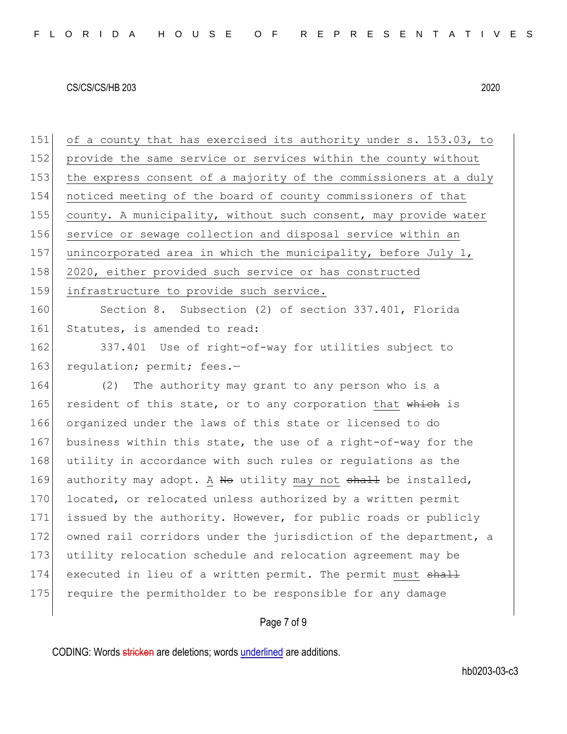151 of a county that has exercised its authority under s. 153.03, to 152 provide the same service or services within the county without 153 the express consent of a majority of the commissioners at a duly 154 noticed meeting of the board of county commissioners of that 155 county. A municipality, without such consent, may provide water 156 service or sewage collection and disposal service within an 157 unincorporated area in which the municipality, before July 1, 158 2020, either provided such service or has constructed 159 infrastructure to provide such service. 160 Section 8. Subsection (2) of section 337.401, Florida 161 Statutes, is amended to read: 162 337.401 Use of right-of-way for utilities subject to 163 regulation; permit; fees.-164 (2) The authority may grant to any person who is a 165 resident of this state, or to any corporation that which is 166 organized under the laws of this state or licensed to do 167 business within this state, the use of a right-of-way for the 168 utility in accordance with such rules or regulations as the

169 authority may adopt. A No utility may not shall be installed,

171 issued by the authority. However, for public roads or publicly

172 owned rail corridors under the jurisdiction of the department, a

170 located, or relocated unless authorized by a written permit

173 utility relocation schedule and relocation agreement may be

174 executed in lieu of a written permit. The permit must shall

175 require the permitholder to be responsible for any damage

### Page 7 of 9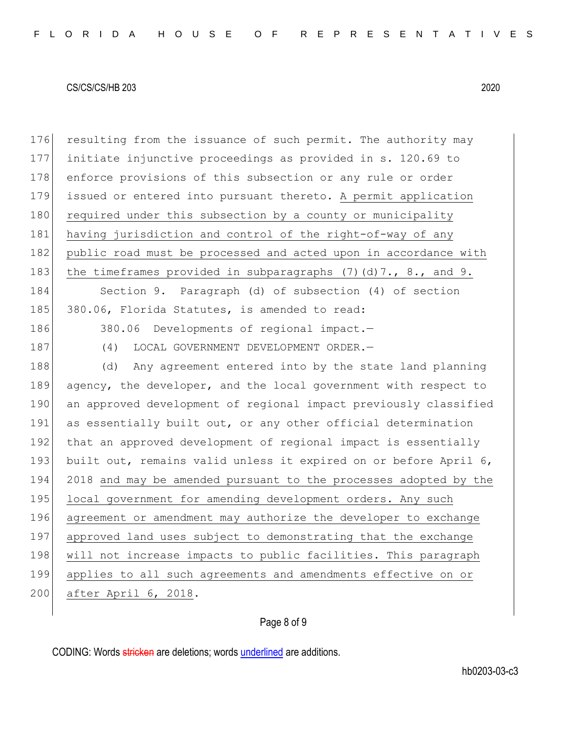176 resulting from the issuance of such permit. The authority may 177 initiate injunctive proceedings as provided in s. 120.69 to 178 enforce provisions of this subsection or any rule or order 179 issued or entered into pursuant thereto. A permit application 180 required under this subsection by a county or municipality 181 having jurisdiction and control of the right-of-way of any 182 public road must be processed and acted upon in accordance with 183 the timeframes provided in subparagraphs  $(7)(d)7.$ , 8., and 9. 184 Section 9. Paragraph (d) of subsection (4) of section 185 380.06, Florida Statutes, is amended to read: 186 380.06 Developments of regional impact.-187 (4) LOCAL GOVERNMENT DEVELOPMENT ORDER. 188 (d) Any agreement entered into by the state land planning 189 agency, the developer, and the local government with respect to 190 an approved development of regional impact previously classified 191 as essentially built out, or any other official determination 192 that an approved development of regional impact is essentially 193 built out, remains valid unless it expired on or before April 6, 194 2018 and may be amended pursuant to the processes adopted by the 195 local government for amending development orders. Any such 196 agreement or amendment may authorize the developer to exchange 197 approved land uses subject to demonstrating that the exchange 198 will not increase impacts to public facilities. This paragraph 199 applies to all such agreements and amendments effective on or 200 after April 6, 2018.

## Page 8 of 9